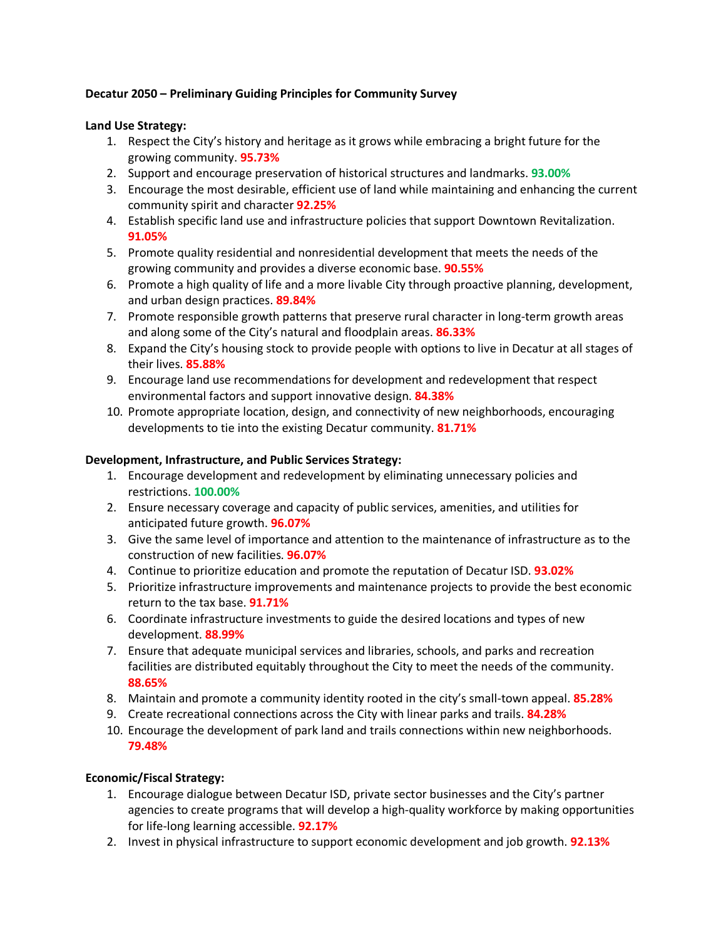# **Decatur 2050 – Preliminary Guiding Principles for Community Survey**

## **Land Use Strategy:**

- 1. Respect the City's history and heritage as it grows while embracing a bright future for the growing community. **95.73%**
- 2. Support and encourage preservation of historical structures and landmarks. **93.00%**
- 3. Encourage the most desirable, efficient use of land while maintaining and enhancing the current community spirit and character **92.25%**
- 4. Establish specific land use and infrastructure policies that support Downtown Revitalization. **91.05%**
- 5. Promote quality residential and nonresidential development that meets the needs of the growing community and provides a diverse economic base. **90.55%**
- 6. Promote a high quality of life and a more livable City through proactive planning, development, and urban design practices. **89.84%**
- 7. Promote responsible growth patterns that preserve rural character in long-term growth areas and along some of the City's natural and floodplain areas. **86.33%**
- 8. Expand the City's housing stock to provide people with options to live in Decatur at all stages of their lives. **85.88%**
- 9. Encourage land use recommendations for development and redevelopment that respect environmental factors and support innovative design. **84.38%**
- 10. Promote appropriate location, design, and connectivity of new neighborhoods, encouraging developments to tie into the existing Decatur community. **81.71%**

## **Development, Infrastructure, and Public Services Strategy:**

- 1. Encourage development and redevelopment by eliminating unnecessary policies and restrictions. **100.00%**
- 2. Ensure necessary coverage and capacity of public services, amenities, and utilities for anticipated future growth. **96.07%**
- 3. Give the same level of importance and attention to the maintenance of infrastructure as to the construction of new facilities. **96.07%**
- 4. Continue to prioritize education and promote the reputation of Decatur ISD. **93.02%**
- 5. Prioritize infrastructure improvements and maintenance projects to provide the best economic return to the tax base. **91.71%**
- 6. Coordinate infrastructure investments to guide the desired locations and types of new development. **88.99%**
- 7. Ensure that adequate municipal services and libraries, schools, and parks and recreation facilities are distributed equitably throughout the City to meet the needs of the community. **88.65%**
- 8. Maintain and promote a community identity rooted in the city's small-town appeal. **85.28%**
- 9. Create recreational connections across the City with linear parks and trails. **84.28%**
- 10. Encourage the development of park land and trails connections within new neighborhoods. **79.48%**

## **Economic/Fiscal Strategy:**

- 1. Encourage dialogue between Decatur ISD, private sector businesses and the City's partner agencies to create programs that will develop a high-quality workforce by making opportunities for life-long learning accessible. **92.17%**
- 2. Invest in physical infrastructure to support economic development and job growth. **92.13%**